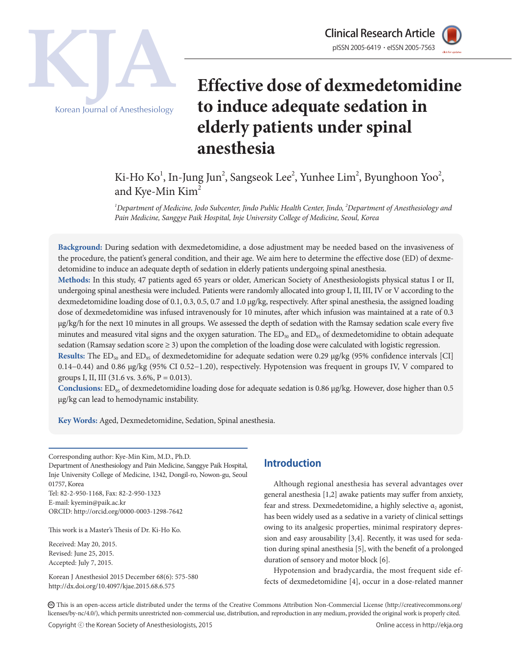



Korean Journal of Anesthesiology

# **Effective dose of dexmedetomidine to induce adequate sedation in elderly patients under spinal anesthesia** Clinical Research Article

## Ki-Ho Ko<sup>1</sup>, In-Jung Jun<sup>2</sup>, Sangseok Lee<sup>2</sup>, Yunhee Lim<sup>2</sup>, Byunghoon Yoo<sup>2</sup>, and Kye-Min Kim<sup>2</sup>

*1 Department of Medicine, Jodo Subcenter, Jindo Public Health Center, Jindo, 2 Department of Anesthesiology and Pain Medicine, Sanggye Paik Hospital, Inje University College of Medicine, Seoul, Korea*

**Background:** During sedation with dexmedetomidine, a dose adjustment may be needed based on the invasiveness of the procedure, the patient's general condition, and their age. We aim here to determine the effective dose (ED) of dexmedetomidine to induce an adequate depth of sedation in elderly patients undergoing spinal anesthesia.

**Methods:** In this study, 47 patients aged 65 years or older, American Society of Anesthesiologists physical status I or II, undergoing spinal anesthesia were included. Patients were randomly allocated into group I, II, III, IV or V according to the dexmedetomidine loading dose of 0.1, 0.3, 0.5, 0.7 and 1.0 μg/kg, respectively. After spinal anesthesia, the assigned loading dose of dexmedetomidine was infused intravenously for 10 minutes, after which infusion was maintained at a rate of 0.3 μg/kg/h for the next 10 minutes in all groups. We assessed the depth of sedation with the Ramsay sedation scale every five minutes and measured vital signs and the oxygen saturation. The  $ED_{50}$  and  $ED_{95}$  of dexmedetomidine to obtain adequate sedation (Ramsay sedation score ≥ 3) upon the completion of the loading dose were calculated with logistic regression.

Results: The ED<sub>50</sub> and ED<sub>95</sub> of dexmedetomidine for adequate sedation were 0.29 µg/kg (95% confidence intervals [CI] 0.14−0.44) and 0.86 μg/kg (95% CI 0.52−1.20), respectively. Hypotension was frequent in groups IV, V compared to groups I, II, III (31.6 vs. 3.6%,  $P = 0.013$ ).

**Conclusions:** ED<sub>95</sub> of dexmedetomidine loading dose for adequate sedation is 0.86 μg/kg. However, dose higher than 0.5 µg/kg can lead to hemodynamic instability.

**Key Words:** Aged, Dexmedetomidine, Sedation, Spinal anesthesia.

Corresponding author: Kye-Min Kim, M.D., Ph.D. Department of Anesthesiology and Pain Medicine, Sanggye Paik Hospital, Inje University College of Medicine, 1342, Dongil-ro, Nowon-gu, Seoul 01757, Korea

Tel: 82-2-950-1168, Fax: 82-2-950-1323 E-mail: kyemin@paik.ac.kr ORCID: http://orcid.org/0000-0003-1298-7642

This work is a Master's Thesis of Dr. Ki-Ho Ko.

Received: May 20, 2015. Revised: June 25, 2015. Accepted: July 7, 2015.

Korean J Anesthesiol 2015 December 68(6): 575-580 http://dx.doi.org/10.4097/kjae.2015.68.6.575

## **Introduction**

Although regional anesthesia has several advantages over general anesthesia [1,2] awake patients may suffer from anxiety, fear and stress. Dexmedetomidine, a highly selective  $\alpha$ , agonist, has been widely used as a sedative in a variety of clinical settings owing to its analgesic properties, minimal respiratory depression and easy arousability [3,4]. Recently, it was used for sedation during spinal anesthesia [5], with the benefit of a prolonged duration of sensory and motor block [6].

Hypotension and bradycardia, the most frequent side effects of dexmedetomidine [4], occur in a dose-related manner

CC This is an open-access article distributed under the terms of the Creative Commons Attribution Non-Commercial License (http://creativecommons.org/ licenses/by-nc/4.0/), which permits unrestricted non-commercial use, distribution, and reproduction in any medium, provided the original work is properly cited.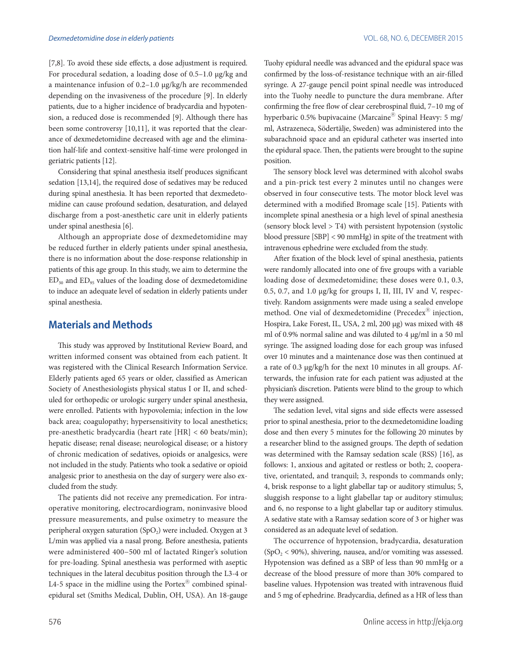[7,8]. To avoid these side effects, a dose adjustment is required. For procedural sedation, a loading dose of 0.5–1.0 μg/kg and a maintenance infusion of 0.2–1.0 µg/kg/h are recommended depending on the invasiveness of the procedure [9]. In elderly patients, due to a higher incidence of bradycardia and hypotension, a reduced dose is recommended [9]. Although there has been some controversy [10,11], it was reported that the clearance of dexmedetomidine decreased with age and the elimination half-life and context-sensitive half-time were prolonged in geriatric patients [12].

Considering that spinal anesthesia itself produces significant sedation [13,14], the required dose of sedatives may be reduced during spinal anesthesia. It has been reported that dexmedetomidine can cause profound sedation, desaturation, and delayed discharge from a post-anesthetic care unit in elderly patients under spinal anesthesia [6].

Although an appropriate dose of dexmedetomidine may be reduced further in elderly patients under spinal anesthesia, there is no information about the dose-response relationship in patients of this age group. In this study, we aim to determine the  $ED_{50}$  and  $ED_{95}$  values of the loading dose of dexmedetomidine to induce an adequate level of sedation in elderly patients under spinal anesthesia.

## **Materials and Methods**

This study was approved by Institutional Review Board, and written informed consent was obtained from each patient. It was registered with the Clinical Research Information Service. Elderly patients aged 65 years or older, classified as American Society of Anesthesiologists physical status I or II, and scheduled for orthopedic or urologic surgery under spinal anesthesia, were enrolled. Patients with hypovolemia; infection in the low back area; coagulopathy; hypersensitivity to local anesthetics; pre-anesthetic bradycardia (heart rate [HR] < 60 beats/min); hepatic disease; renal disease; neurological disease; or a history of chronic medication of sedatives, opioids or analgesics, were not included in the study. Patients who took a sedative or opioid analgesic prior to anesthesia on the day of surgery were also excluded from the study.

The patients did not receive any premedication. For intraoperative monitoring, electrocardiogram, noninvasive blood pressure measurements, and pulse oximetry to measure the peripheral oxygen saturation  $(SpO<sub>2</sub>)$  were included. Oxygen at 3 L/min was applied via a nasal prong. Before anesthesia, patients were administered 400−500 ml of lactated Ringer's solution for pre-loading. Spinal anesthesia was performed with aseptic techniques in the lateral decubitus position through the L3-4 or L4-5 space in the midline using the Portex<sup>®</sup> combined spinalepidural set (Smiths Medical, Dublin, OH, USA). An 18-gauge Tuohy epidural needle was advanced and the epidural space was confirmed by the loss-of-resistance technique with an air-filled syringe. A 27-gauge pencil point spinal needle was introduced into the Tuohy needle to puncture the dura membrane. After confirming the free flow of clear cerebrospinal fluid, 7–10 mg of hyperbaric 0.5% bupivacaine (Marcaine<sup>®</sup> Spinal Heavy: 5 mg/ ml, Astrazeneca, Södertälje, Sweden) was administered into the subarachnoid space and an epidural catheter was inserted into the epidural space. Then, the patients were brought to the supine position.

The sensory block level was determined with alcohol swabs and a pin-prick test every 2 minutes until no changes were observed in four consecutive tests. The motor block level was determined with a modified Bromage scale [15]. Patients with incomplete spinal anesthesia or a high level of spinal anesthesia (sensory block level > T4) with persistent hypotension (systolic blood pressure [SBP] < 90 mmHg) in spite of the treatment with intravenous ephedrine were excluded from the study.

After fixation of the block level of spinal anesthesia, patients were randomly allocated into one of five groups with a variable loading dose of dexmedetomidine; these doses were 0.1, 0.3, 0.5, 0.7, and 1.0 µg/kg for groups I, II, III, IV and V, respectively. Random assignments were made using a sealed envelope method. One vial of dexmedetomidine (Precedex<sup>®</sup> injection, Hospira, Lake Forest, IL, USA, 2 ml, 200 µg) was mixed with 48 ml of 0.9% normal saline and was diluted to 4 µg/ml in a 50 ml syringe. The assigned loading dose for each group was infused over 10 minutes and a maintenance dose was then continued at a rate of 0.3 µg/kg/h for the next 10 minutes in all groups. Afterwards, the infusion rate for each patient was adjusted at the physician's discretion. Patients were blind to the group to which they were assigned.

The sedation level, vital signs and side effects were assessed prior to spinal anesthesia, prior to the dexmedetomidine loading dose and then every 5 minutes for the following 20 minutes by a researcher blind to the assigned groups. The depth of sedation was determined with the Ramsay sedation scale (RSS) [16], as follows: 1, anxious and agitated or restless or both; 2, cooperative, orientated, and tranquil; 3, responds to commands only; 4, brisk response to a light glabellar tap or auditory stimulus; 5, sluggish response to a light glabellar tap or auditory stimulus; and 6, no response to a light glabellar tap or auditory stimulus. A sedative state with a Ramsay sedation score of 3 or higher was considered as an adequate level of sedation.

The occurrence of hypotension, bradycardia, desaturation  $(SpO<sub>2</sub> < 90%)$ , shivering, nausea, and/or vomiting was assessed. Hypotension was defined as a SBP of less than 90 mmHg or a decrease of the blood pressure of more than 30% compared to baseline values. Hypotension was treated with intravenous fluid and 5 mg of ephedrine. Bradycardia, defined as a HR of less than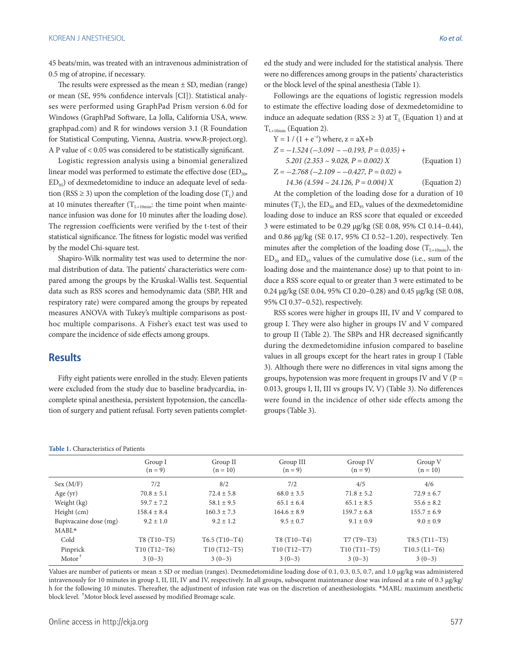45 beats/min, was treated with an intravenous administration of 0.5 mg of atropine, if necessary.

The results were expressed as the mean  $\pm$  SD, median (range) or mean (SE, 95% confidence intervals [CI]). Statistical analyses were performed using GraphPad Prism version 6.0d for Windows (GraphPad Software, La Jolla, California USA, www. graphpad.com) and R for windows version 3.1 (R Foundation for Statistical Computing, Vienna, Austria. www.R-project.org). A P value of < 0.05 was considered to be statistically significant.

Logistic regression analysis using a binomial generalized linear model was performed to estimate the effective dose  $(ED_{50},$  $ED_{95}$ ) of dexmedetomidine to induce an adequate level of sedation (RSS  $\geq$  3) upon the completion of the loading dose (T<sub>I</sub>) and at 10 minutes thereafter  $(T_{L+10min}$ : the time point when maintenance infusion was done for 10 minutes after the loading dose). The regression coefficients were verified by the t-test of their statistical significance. The fitness for logistic model was verified by the model Chi-square test.

Shapiro-Wilk normality test was used to determine the normal distribution of data. The patients' characteristics were compared among the groups by the Kruskal-Wallis test. Sequential data such as RSS scores and hemodynamic data (SBP, HR and respiratory rate) were compared among the groups by repeated measures ANOVA with Tukey's multiple comparisons as posthoc multiple comparisons. A Fisher's exact test was used to compare the incidence of side effects among groups.

## **Results**

Fifty eight patients were enrolled in the study. Eleven patients were excluded from the study due to baseline bradycardia, incomplete spinal anesthesia, persistent hypotension, the cancellation of surgery and patient refusal. Forty seven patients completed the study and were included for the statistical analysis. There were no differences among groups in the patients' characteristics or the block level of the spinal anesthesia (Table 1).

Followings are the equations of logistic regression models to estimate the effective loading dose of dexmedetomidine to induce an adequate sedation (RSS  $\geq$  3) at T<sub>L</sub> (Equation 1) and at  $T_{L+10min}$  (Equation 2).

| $Y = 1 / (1 + e^{-z})$ where, $z = aX + b$     |              |
|------------------------------------------------|--------------|
| $Z = -1.524 (-3.091 \sim -0.193, P = 0.035) +$ |              |
| 5.201 (2.353 ~ 9.028, $P = 0.002$ ) X          | (Equation 1) |
| $Z = -2.768 (-2.109 \sim -0.427, P = 0.02) +$  |              |
| $14.36 (4.594 \sim 24.126, P = 0.004) X$       | (Equation 2) |

At the completion of the loading dose for a duration of 10 minutes  $(T<sub>L</sub>)$ , the ED<sub>50</sub> and ED<sub>95</sub> values of the dexmedetomidine loading dose to induce an RSS score that equaled or exceeded 3 were estimated to be 0.29 µg/kg (SE 0.08, 95% CI 0.14−0.44), and 0.86 µg/kg (SE 0.17, 95% CI 0.52−1.20), respectively. Ten minutes after the completion of the loading dose  $(T_{L+10min})$ , the  $ED_{50}$  and  $ED_{95}$  values of the cumulative dose (i.e., sum of the loading dose and the maintenance dose) up to that point to induce a RSS score equal to or greater than 3 were estimated to be 0.24 µg/kg (SE 0.04, 95% CI 0.20−0.28) and 0.45 µg/kg (SE 0.08, 95% CI 0.37−0.52), respectively.

RSS scores were higher in groups III, IV and V compared to group I. They were also higher in groups IV and V compared to group II (Table 2). The SBPs and HR decreased significantly during the dexmedetomidine infusion compared to baseline values in all groups except for the heart rates in group I (Table 3). Although there were no differences in vital signs among the groups, hypotension was more frequent in groups IV and V ( $P =$ 0.013, groups I, II, III vs groups IV, V) (Table 3). No differences were found in the incidence of other side effects among the groups (Table 3).

|                       | Group I         | Group II        | Group III       | Group IV        | Group V         |
|-----------------------|-----------------|-----------------|-----------------|-----------------|-----------------|
|                       | $(n = 9)$       | $(n = 10)$      | $(n = 9)$       | $(n = 9)$       | $(n = 10)$      |
| Sex (M/F)             | 7/2             | 8/2             | 7/2             | 4/5             | 4/6             |
| Age $(yr)$            | $70.8 \pm 5.1$  | $72.4 \pm 5.8$  | $68.0 \pm 3.5$  | $71.8 \pm 5.2$  | $72.9 \pm 6.7$  |
| Weight (kg)           | $59.7 \pm 7.2$  | $58.1 \pm 9.5$  | $65.1 \pm 6.4$  | $65.1 \pm 8.5$  | $55.6 \pm 8.2$  |
| Height (cm)           | $158.4 \pm 8.4$ | $160.3 \pm 7.3$ | $164.6 \pm 8.9$ | $159.7 \pm 6.8$ | $155.7 \pm 6.9$ |
| Bupivacaine dose (mg) | $9.2 \pm 1.0$   | $9.2 \pm 1.2$   | $9.5 \pm 0.7$   | $9.1 \pm 0.9$   | $9.0 \pm 0.9$   |
| $MABL*$               |                 |                 |                 |                 |                 |
| Cold                  | $T8(T10-T5)$    | $T6.5(T10-T4)$  | $T8(T10-T4)$    | $T7(T9-T3)$     | $T8.5 (T11-T5)$ |
| Pinprick              | $T10(T12-T6)$   | $T10(T12-T5)$   | $T10(T12-T7)$   | $T10(T11-T5)$   | $T10.5$ (L1-T6) |
| $Motor^{\dagger}$     | $3(0-3)$        | $3(0-3)$        | $3(0-3)$        | $3(0-3)$        | $3(0-3)$        |

Values are number of patients or mean  $\pm$  SD or median (ranges). Dexmedetomidine loading dose of 0.1, 0.3, 0.5, 0.7, and 1.0 µg/kg was administered intravenously for 10 minutes in group I, II, III, IV and IV, respectively. In all groups, subsequent maintenance dose was infused at a rate of 0.3 µg/kg/ h for the following 10 minutes. Thereafter, the adjustment of infusion rate was on the discretion of anesthesiologists. \*MABL: maximum anesthetic block level. †Motor block level assessed by modified Bromage scale.

#### **Table 1.** Characteristics of Patients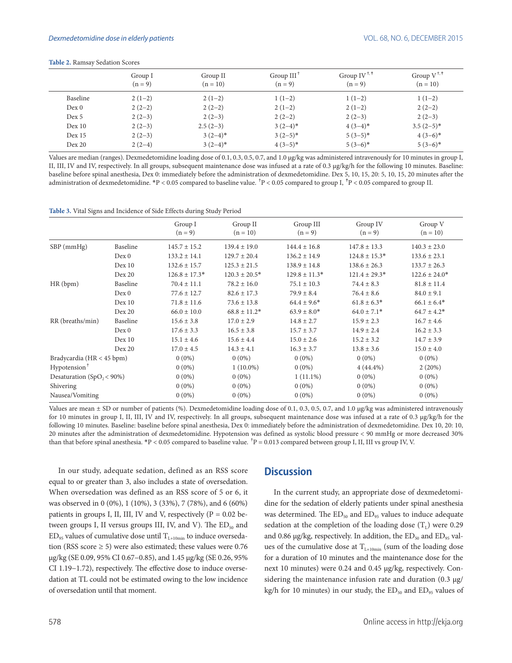|                   | Group I<br>$(n = 9)$ | Group II<br>$(n = 10)$ | Group $III$ <sup>T</sup><br>$(n = 9)$ | Group IV <sup><math>^{\dagger,\dagger}</math></sup><br>$(n = 9)$ | Group $V^{\dagger,\dagger}$<br>$(n = 10)$ |
|-------------------|----------------------|------------------------|---------------------------------------|------------------------------------------------------------------|-------------------------------------------|
| Baseline          | $2(1-2)$             | $2(1-2)$               | $1(1-2)$                              | $1(1-2)$                                                         | $1(1-2)$                                  |
| Dev 0             | $2(2-2)$             | $2(2-2)$               | $2(1-2)$                              | $2(1-2)$                                                         | $2(2-2)$                                  |
| Dex 5             | $2(2-3)$             | $2(2-3)$               | $2(2-2)$                              | $2(2-3)$                                                         | $2(2-3)$                                  |
| Dev 10            | $2(2-3)$             | $2.5(2-3)$             | $3(2-4)*$                             | $4(3-4)*$                                                        | $3.5(2-5)*$                               |
| Dev <sub>15</sub> | $2(2-3)$             | $3(2-4)$ *             | $3(2-5)*$                             | $5(3-5)*$                                                        | $4(3-6)*$                                 |
| Dev 20            | $2(2-4)$             | $3(2-4)*$              | $4(3-5)*$                             | $5(3-6)*$                                                        | $5(3-6)*$                                 |

**Table 2.** Ramsay Sedation Scores

Values are median (ranges). Dexmedetomidine loading dose of 0.1, 0.3, 0.5, 0.7, and 1.0 µg/kg was administered intravenously for 10 minutes in group I, II, III, IV and IV, respectively. In all groups, subsequent maintenance dose was infused at a rate of 0.3 µg/kg/h for the following 10 minutes. Baseline: baseline before spinal anesthesia, Dex 0: immediately before the administration of dexmedetomidine. Dex 5, 10, 15, 20: 5, 10, 15, 20 minutes after the administration of dexmedetomidine. \*P < 0.05 compared to baseline value.  $^{\dagger}P$  < 0.05 compared to group I,  $^{\dagger}P$  < 0.05 compared to group II.

#### **Table 3.** Vital Signs and Incidence of Side Effects during Study Period

|                              |          | Group I<br>$(n = 9)$ | Group II<br>$(n = 10)$ | Group III<br>$(n = 9)$ | Group IV<br>$(n = 9)$ | Group V<br>$(n = 10)$ |
|------------------------------|----------|----------------------|------------------------|------------------------|-----------------------|-----------------------|
| $SBP$ (mmHg)                 | Baseline | $145.7 \pm 15.2$     | $139.4 \pm 19.0$       | $144.4 \pm 16.8$       | $147.8 \pm 13.3$      | $140.3 \pm 23.0$      |
|                              | Dev 0    | $133.2 \pm 14.1$     | $129.7 \pm 20.4$       | $136.2 \pm 14.9$       | $124.8 \pm 15.3*$     | $133.6 \pm 23.1$      |
|                              | Dex 10   | $132.6 \pm 15.7$     | $125.3 \pm 21.5$       | $138.9 \pm 14.8$       | $138.6 \pm 26.3$      | $133.7 \pm 26.3$      |
|                              | Dev 20   | $126.8 \pm 17.3*$    | $120.3 \pm 20.5*$      | $129.8 \pm 11.3*$      | $121.4 \pm 29.3*$     | $122.6 \pm 24.0*$     |
| HR(bpm)                      | Baseline | $70.4 \pm 11.1$      | $78.2 \pm 16.0$        | $75.1 \pm 10.3$        | $74.4 \pm 8.3$        | $81.8 \pm 11.4$       |
|                              | Dev 0    | $77.6 \pm 12.7$      | $82.6 \pm 17.3$        | $79.9 \pm 8.4$         | $76.4 \pm 8.6$        | $84.0 \pm 9.1$        |
|                              | Dev 10   | $71.8 \pm 11.6$      | $73.6 \pm 13.8$        | $64.4 \pm 9.6^*$       | $61.8 \pm 6.3*$       | $66.1 \pm 6.4*$       |
|                              | Dev 20   | $66.0 \pm 10.0$      | $68.8 \pm 11.2*$       | $63.9 \pm 8.0*$        | $64.0 \pm 7.1*$       | $64.7 \pm 4.2^*$      |
| RR (breaths/min)             | Baseline | $15.6 \pm 3.8$       | $17.0 \pm 2.9$         | $14.8 \pm 2.7$         | $15.9 \pm 2.3$        | $16.7 \pm 4.6$        |
|                              | Dev 0    | $17.6 \pm 3.3$       | $16.5 \pm 3.8$         | $15.7 \pm 3.7$         | $14.9 \pm 2.4$        | $16.2 \pm 3.3$        |
|                              | Dex 10   | $15.1 \pm 4.6$       | $15.6 \pm 4.4$         | $15.0 \pm 2.6$         | $15.2 \pm 3.2$        | $14.7 \pm 3.9$        |
|                              | Dev 20   | $17.0 \pm 4.5$       | $14.3 \pm 4.1$         | $16.3 \pm 3.7$         | $13.8 \pm 3.6$        | $15.0 \pm 4.0$        |
| Bradycardia (HR < 45 bpm)    |          | $0(0\%)$             | $0(0\%)$               | $0(0\%)$               | $0(0\%)$              | $0(0\%)$              |
| Hypotension <sup>+</sup>     |          | $0(0\%)$             | $1(10.0\%)$            | $0(0\%)$               | $4(44.4\%)$           | 2(20%)                |
| Desaturation $(SpO, < 90\%)$ |          | $0(0\%)$             | $0(0\%)$               | $1(11.1\%)$            | $0(0\%)$              | $0(0\%)$              |
| Shivering                    |          | $0(0\%)$             | $0(0\%)$               | $0(0\%)$               | $0(0\%)$              | $0(0\%)$              |
| Nausea/Vomiting              |          | $0(0\%)$             | $0(0\%)$               | $0(0\%)$               | $0(0\%)$              | $0(0\%)$              |

Values are mean  $\pm$  SD or number of patients (%). Dexmedetomidine loading dose of 0.1, 0.3, 0.5, 0.7, and 1.0 µg/kg was administered intravenously for 10 minutes in group I, II, III, IV and IV, respectively. In all groups, subsequent maintenance dose was infused at a rate of 0.3 µg/kg/h for the following 10 minutes. Baseline: baseline before spinal anesthesia, Dex 0: immediately before the administration of dexmedetomidine. Dex 10, 20: 10, 20 minutes after the administration of dexmedetomidine. Hypotension was defined as systolic blood pressure < 90 mmHg or more decreased 30% than that before spinal anesthesia. \*P < 0.05 compared to baseline value. <sup>†</sup>P = 0.013 compared between group I, II, III vs group IV, V.

In our study, adequate sedation, defined as an RSS score equal to or greater than 3, also includes a state of oversedation. When oversedation was defined as an RSS score of 5 or 6, it was observed in 0 (0%), 1 (10%), 3 (33%), 7 (78%), and 6 (60%) patients in groups I, II, III, IV and V, respectively ( $P = 0.02$  between groups I, II versus groups III, IV, and V). The  $ED_{50}$  and  $ED_{95}$  values of cumulative dose until  $T_{L+10min}$  to induce oversedation (RSS score  $\geq$  5) were also estimated; these values were 0.76 µg/kg (SE 0.09, 95% CI 0.67−0.85), and 1.45 µg/kg (SE 0.26, 95% CI 1.19−1.72), respectively. The effective dose to induce oversedation at TL could not be estimated owing to the low incidence of oversedation until that moment.

### **Discussion**

In the current study, an appropriate dose of dexmedetomidine for the sedation of elderly patients under spinal anesthesia was determined. The  $ED_{50}$  and  $ED_{95}$  values to induce adequate sedation at the completion of the loading dose  $(T_L)$  were 0.29 and 0.86  $\mu$ g/kg, respectively. In addition, the ED<sub>50</sub> and ED<sub>95</sub> values of the cumulative dose at  $T_{L+10min}$  (sum of the loading dose for a duration of 10 minutes and the maintenance dose for the next 10 minutes) were 0.24 and 0.45 µg/kg, respectively. Considering the maintenance infusion rate and duration (0.3 µg/ kg/h for 10 minutes) in our study, the  $ED_{50}$  and  $ED_{95}$  values of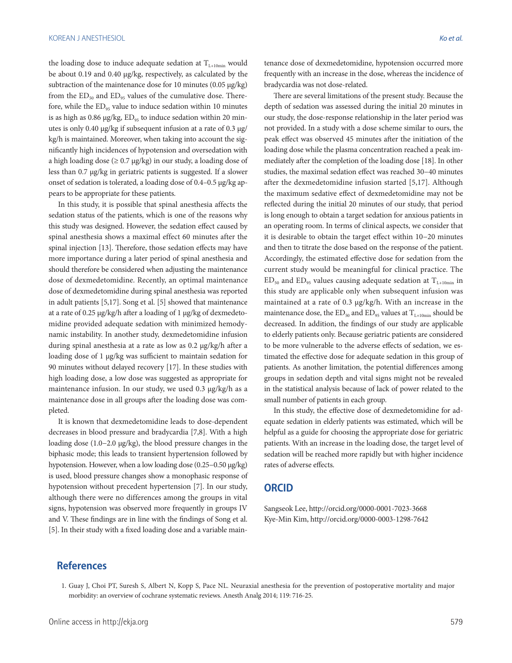the loading dose to induce adequate sedation at  $T_{L+10min}$  would be about 0.19 and 0.40 µg/kg, respectively, as calculated by the subtraction of the maintenance dose for 10 minutes (0.05 µg/kg) from the  $ED_{50}$  and  $ED_{95}$  values of the cumulative dose. Therefore, while the  $ED_{95}$  value to induce sedation within 10 minutes is as high as 0.86  $\mu$ g/kg, ED<sub>95</sub> to induce sedation within 20 minutes is only 0.40 µg/kg if subsequent infusion at a rate of 0.3 µg/ kg/h is maintained. Moreover, when taking into account the significantly high incidences of hypotension and oversedation with a high loading dose ( $\geq 0.7 \text{ µg/kg}$ ) in our study, a loading dose of less than 0.7 µg/kg in geriatric patients is suggested. If a slower onset of sedation is tolerated, a loading dose of 0.4–0.5 µg/kg appears to be appropriate for these patients.

In this study, it is possible that spinal anesthesia affects the sedation status of the patients, which is one of the reasons why this study was designed. However, the sedation effect caused by spinal anesthesia shows a maximal effect 60 minutes after the spinal injection [13]. Therefore, those sedation effects may have more importance during a later period of spinal anesthesia and should therefore be considered when adjusting the maintenance dose of dexmedetomidine. Recently, an optimal maintenance dose of dexmedetomidine during spinal anesthesia was reported in adult patients [5,17]. Song et al. [5] showed that maintenance at a rate of 0.25 µg/kg/h after a loading of 1 µg/kg of dexmedetomidine provided adequate sedation with minimized hemodynamic instability. In another study, dexmedetomidine infusion during spinal anesthesia at a rate as low as 0.2 µg/kg/h after a loading dose of 1 µg/kg was sufficient to maintain sedation for 90 minutes without delayed recovery [17]. In these studies with high loading dose, a low dose was suggested as appropriate for maintenance infusion. In our study, we used 0.3 µg/kg/h as a maintenance dose in all groups after the loading dose was completed.

It is known that dexmedetomidine leads to dose-dependent decreases in blood pressure and bradycardia [7,8]. With a high loading dose (1.0−2.0 µg/kg), the blood pressure changes in the biphasic mode; this leads to transient hypertension followed by hypotension. However, when a low loading dose (0.25−0.50 µg/kg) is used, blood pressure changes show a monophasic response of hypotension without precedent hypertension [7]. In our study, although there were no differences among the groups in vital signs, hypotension was observed more frequently in groups IV and V. These findings are in line with the findings of Song et al. [5]. In their study with a fixed loading dose and a variable maintenance dose of dexmedetomidine, hypotension occurred more frequently with an increase in the dose, whereas the incidence of bradycardia was not dose-related.

There are several limitations of the present study. Because the depth of sedation was assessed during the initial 20 minutes in our study, the dose-response relationship in the later period was not provided. In a study with a dose scheme similar to ours, the peak effect was observed 45 minutes after the initiation of the loading dose while the plasma concentration reached a peak immediately after the completion of the loading dose [18]. In other studies, the maximal sedation effect was reached 30−40 minutes after the dexmedetomidine infusion started [5,17]. Although the maximum sedative effect of dexmedetomidine may not be reflected during the initial 20 minutes of our study, that period is long enough to obtain a target sedation for anxious patients in an operating room. In terms of clinical aspects, we consider that it is desirable to obtain the target effect within 10−20 minutes and then to titrate the dose based on the response of the patient. Accordingly, the estimated effective dose for sedation from the current study would be meaningful for clinical practice. The  $ED_{50}$  and  $ED_{95}$  values causing adequate sedation at  $T_{L+10min}$  in this study are applicable only when subsequent infusion was maintained at a rate of 0.3 µg/kg/h. With an increase in the maintenance dose, the  $ED_{50}$  and  $ED_{95}$  values at  $T_{L+10min}$  should be decreased. In addition, the findings of our study are applicable to elderly patients only. Because geriatric patients are considered to be more vulnerable to the adverse effects of sedation, we estimated the effective dose for adequate sedation in this group of patients. As another limitation, the potential differences among groups in sedation depth and vital signs might not be revealed in the statistical analysis because of lack of power related to the small number of patients in each group.

In this study, the effective dose of dexmedetomidine for adequate sedation in elderly patients was estimated, which will be helpful as a guide for choosing the appropriate dose for geriatric patients. With an increase in the loading dose, the target level of sedation will be reached more rapidly but with higher incidence rates of adverse effects.

## **ORCID**

Sangseok Lee, http://orcid.org/0000-0001-7023-3668 Kye-Min Kim, http://orcid.org/0000-0003-1298-7642

## **References**

<sup>1.</sup> Guay J, Choi PT, Suresh S, Albert N, Kopp S, Pace NL. Neuraxial anesthesia for the prevention of postoperative mortality and major morbidity: an overview of cochrane systematic reviews. Anesth Analg 2014; 119: 716-25.